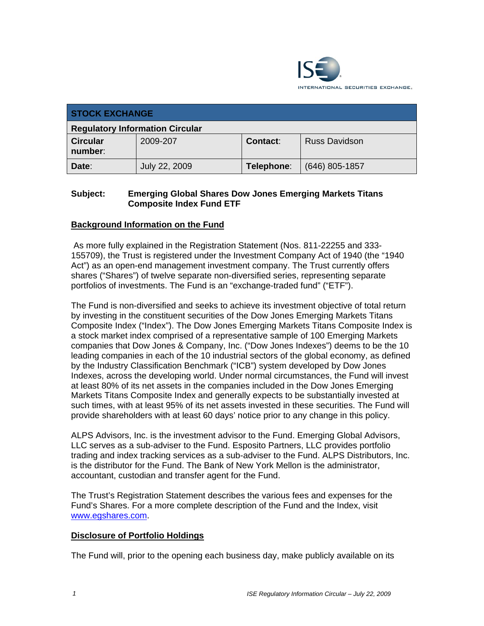

| <b>STOCK EXCHANGE</b>                  |               |                 |                      |
|----------------------------------------|---------------|-----------------|----------------------|
| <b>Regulatory Information Circular</b> |               |                 |                      |
| <b>Circular</b><br>number:             | 2009-207      | <b>Contact:</b> | <b>Russ Davidson</b> |
| Date:                                  | July 22, 2009 | Telephone:      | $(646)$ 805-1857     |

### **Subject: Emerging Global Shares Dow Jones Emerging Markets Titans Composite Index Fund ETF**

# **Background Information on the Fund**

 As more fully explained in the Registration Statement (Nos. 811-22255 and 333- 155709), the Trust is registered under the Investment Company Act of 1940 (the "1940 Act") as an open-end management investment company. The Trust currently offers shares ("Shares") of twelve separate non-diversified series, representing separate portfolios of investments. The Fund is an "exchange-traded fund" ("ETF").

The Fund is non-diversified and seeks to achieve its investment objective of total return by investing in the constituent securities of the Dow Jones Emerging Markets Titans Composite Index ("Index"). The Dow Jones Emerging Markets Titans Composite Index is a stock market index comprised of a representative sample of 100 Emerging Markets companies that Dow Jones & Company, Inc. ("Dow Jones Indexes") deems to be the 10 leading companies in each of the 10 industrial sectors of the global economy, as defined by the Industry Classification Benchmark ("ICB") system developed by Dow Jones Indexes, across the developing world. Under normal circumstances, the Fund will invest at least 80% of its net assets in the companies included in the Dow Jones Emerging Markets Titans Composite Index and generally expects to be substantially invested at such times, with at least 95% of its net assets invested in these securities. The Fund will provide shareholders with at least 60 days' notice prior to any change in this policy.

ALPS Advisors, Inc. is the investment advisor to the Fund. Emerging Global Advisors, LLC serves as a sub-adviser to the Fund. Esposito Partners, LLC provides portfolio trading and index tracking services as a sub-adviser to the Fund. ALPS Distributors, Inc. is the distributor for the Fund. The Bank of New York Mellon is the administrator, accountant, custodian and transfer agent for the Fund.

The Trust's Registration Statement describes the various fees and expenses for the Fund's Shares. For a more complete description of the Fund and the Index, visit www.egshares.com.

#### **Disclosure of Portfolio Holdings**

The Fund will, prior to the opening each business day, make publicly available on its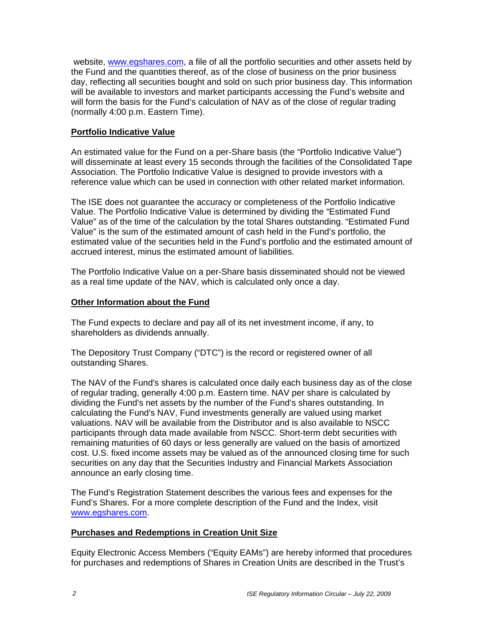website, www.egshares.com, a file of all the portfolio securities and other assets held by the Fund and the quantities thereof, as of the close of business on the prior business day, reflecting all securities bought and sold on such prior business day. This information will be available to investors and market participants accessing the Fund's website and will form the basis for the Fund's calculation of NAV as of the close of regular trading (normally 4:00 p.m. Eastern Time).

### **Portfolio Indicative Value**

An estimated value for the Fund on a per-Share basis (the "Portfolio Indicative Value") will disseminate at least every 15 seconds through the facilities of the Consolidated Tape Association. The Portfolio Indicative Value is designed to provide investors with a reference value which can be used in connection with other related market information.

The ISE does not guarantee the accuracy or completeness of the Portfolio Indicative Value. The Portfolio Indicative Value is determined by dividing the "Estimated Fund Value" as of the time of the calculation by the total Shares outstanding. "Estimated Fund Value" is the sum of the estimated amount of cash held in the Fund's portfolio, the estimated value of the securities held in the Fund's portfolio and the estimated amount of accrued interest, minus the estimated amount of liabilities.

The Portfolio Indicative Value on a per-Share basis disseminated should not be viewed as a real time update of the NAV, which is calculated only once a day.

# **Other Information about the Fund**

The Fund expects to declare and pay all of its net investment income, if any, to shareholders as dividends annually.

The Depository Trust Company ("DTC") is the record or registered owner of all outstanding Shares.

The NAV of the Fund's shares is calculated once daily each business day as of the close of regular trading, generally 4:00 p.m. Eastern time. NAV per share is calculated by dividing the Fund's net assets by the number of the Fund's shares outstanding. In calculating the Fund's NAV, Fund investments generally are valued using market valuations. NAV will be available from the Distributor and is also available to NSCC participants through data made available from NSCC. Short-term debt securities with remaining maturities of 60 days or less generally are valued on the basis of amortized cost. U.S. fixed income assets may be valued as of the announced closing time for such securities on any day that the Securities Industry and Financial Markets Association announce an early closing time.

The Fund's Registration Statement describes the various fees and expenses for the Fund's Shares. For a more complete description of the Fund and the Index, visit www.egshares.com.

#### **Purchases and Redemptions in Creation Unit Size**

Equity Electronic Access Members ("Equity EAMs") are hereby informed that procedures for purchases and redemptions of Shares in Creation Units are described in the Trust's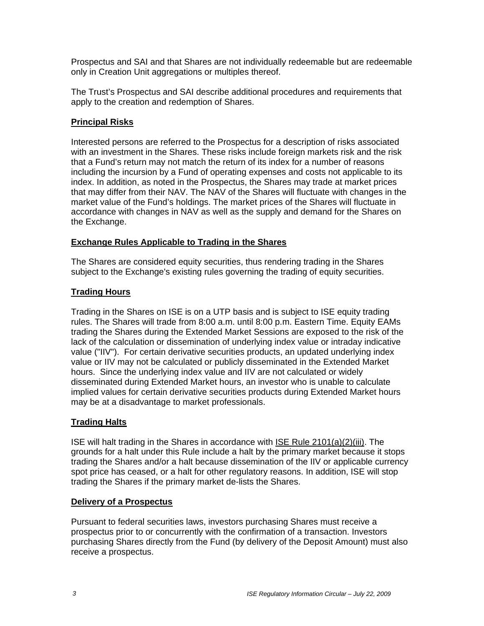Prospectus and SAI and that Shares are not individually redeemable but are redeemable only in Creation Unit aggregations or multiples thereof.

The Trust's Prospectus and SAI describe additional procedures and requirements that apply to the creation and redemption of Shares.

#### **Principal Risks**

Interested persons are referred to the Prospectus for a description of risks associated with an investment in the Shares. These risks include foreign markets risk and the risk that a Fund's return may not match the return of its index for a number of reasons including the incursion by a Fund of operating expenses and costs not applicable to its index. In addition, as noted in the Prospectus, the Shares may trade at market prices that may differ from their NAV. The NAV of the Shares will fluctuate with changes in the market value of the Fund's holdings. The market prices of the Shares will fluctuate in accordance with changes in NAV as well as the supply and demand for the Shares on the Exchange.

#### **Exchange Rules Applicable to Trading in the Shares**

The Shares are considered equity securities, thus rendering trading in the Shares subject to the Exchange's existing rules governing the trading of equity securities.

# **Trading Hours**

Trading in the Shares on ISE is on a UTP basis and is subject to ISE equity trading rules. The Shares will trade from 8:00 a.m. until 8:00 p.m. Eastern Time. Equity EAMs trading the Shares during the Extended Market Sessions are exposed to the risk of the lack of the calculation or dissemination of underlying index value or intraday indicative value ("IIV"). For certain derivative securities products, an updated underlying index value or IIV may not be calculated or publicly disseminated in the Extended Market hours. Since the underlying index value and IIV are not calculated or widely disseminated during Extended Market hours, an investor who is unable to calculate implied values for certain derivative securities products during Extended Market hours may be at a disadvantage to market professionals.

#### **Trading Halts**

ISE will halt trading in the Shares in accordance with ISE Rule 2101(a)(2)(iii). The grounds for a halt under this Rule include a halt by the primary market because it stops trading the Shares and/or a halt because dissemination of the IIV or applicable currency spot price has ceased, or a halt for other regulatory reasons. In addition, ISE will stop trading the Shares if the primary market de-lists the Shares.

#### **Delivery of a Prospectus**

Pursuant to federal securities laws, investors purchasing Shares must receive a prospectus prior to or concurrently with the confirmation of a transaction. Investors purchasing Shares directly from the Fund (by delivery of the Deposit Amount) must also receive a prospectus.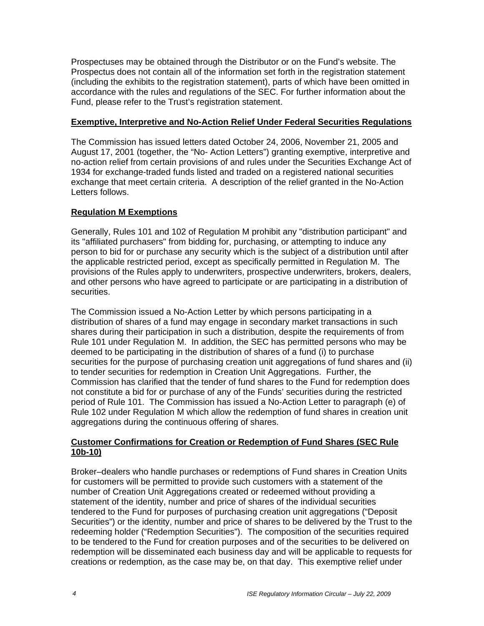Prospectuses may be obtained through the Distributor or on the Fund's website. The Prospectus does not contain all of the information set forth in the registration statement (including the exhibits to the registration statement), parts of which have been omitted in accordance with the rules and regulations of the SEC. For further information about the Fund, please refer to the Trust's registration statement.

#### **Exemptive, Interpretive and No-Action Relief Under Federal Securities Regulations**

The Commission has issued letters dated October 24, 2006, November 21, 2005 and August 17, 2001 (together, the "No- Action Letters") granting exemptive, interpretive and no-action relief from certain provisions of and rules under the Securities Exchange Act of 1934 for exchange-traded funds listed and traded on a registered national securities exchange that meet certain criteria. A description of the relief granted in the No-Action Letters follows.

# **Regulation M Exemptions**

Generally, Rules 101 and 102 of Regulation M prohibit any "distribution participant" and its "affiliated purchasers" from bidding for, purchasing, or attempting to induce any person to bid for or purchase any security which is the subject of a distribution until after the applicable restricted period, except as specifically permitted in Regulation M. The provisions of the Rules apply to underwriters, prospective underwriters, brokers, dealers, and other persons who have agreed to participate or are participating in a distribution of securities.

The Commission issued a No-Action Letter by which persons participating in a distribution of shares of a fund may engage in secondary market transactions in such shares during their participation in such a distribution, despite the requirements of from Rule 101 under Regulation M. In addition, the SEC has permitted persons who may be deemed to be participating in the distribution of shares of a fund (i) to purchase securities for the purpose of purchasing creation unit aggregations of fund shares and (ii) to tender securities for redemption in Creation Unit Aggregations. Further, the Commission has clarified that the tender of fund shares to the Fund for redemption does not constitute a bid for or purchase of any of the Funds' securities during the restricted period of Rule 101. The Commission has issued a No-Action Letter to paragraph (e) of Rule 102 under Regulation M which allow the redemption of fund shares in creation unit aggregations during the continuous offering of shares.

#### **Customer Confirmations for Creation or Redemption of Fund Shares (SEC Rule 10b-10)**

Broker–dealers who handle purchases or redemptions of Fund shares in Creation Units for customers will be permitted to provide such customers with a statement of the number of Creation Unit Aggregations created or redeemed without providing a statement of the identity, number and price of shares of the individual securities tendered to the Fund for purposes of purchasing creation unit aggregations ("Deposit Securities") or the identity, number and price of shares to be delivered by the Trust to the redeeming holder ("Redemption Securities"). The composition of the securities required to be tendered to the Fund for creation purposes and of the securities to be delivered on redemption will be disseminated each business day and will be applicable to requests for creations or redemption, as the case may be, on that day. This exemptive relief under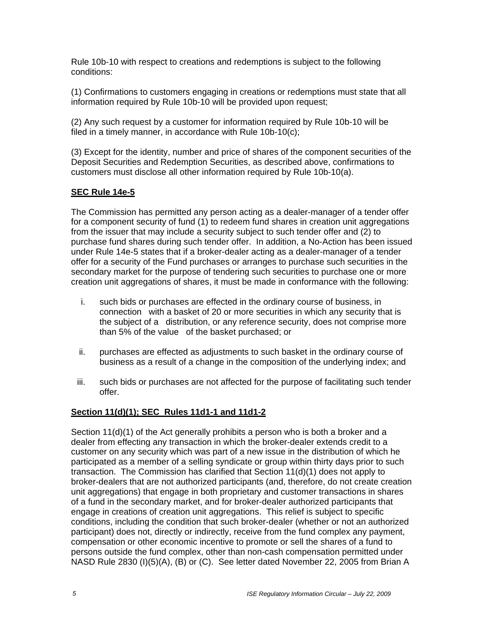Rule 10b-10 with respect to creations and redemptions is subject to the following conditions:

(1) Confirmations to customers engaging in creations or redemptions must state that all information required by Rule 10b-10 will be provided upon request;

(2) Any such request by a customer for information required by Rule 10b-10 will be filed in a timely manner, in accordance with Rule 10b-10(c);

(3) Except for the identity, number and price of shares of the component securities of the Deposit Securities and Redemption Securities, as described above, confirmations to customers must disclose all other information required by Rule 10b-10(a).

# **SEC Rule 14e-5**

The Commission has permitted any person acting as a dealer-manager of a tender offer for a component security of fund (1) to redeem fund shares in creation unit aggregations from the issuer that may include a security subject to such tender offer and (2) to purchase fund shares during such tender offer. In addition, a No-Action has been issued under Rule 14e-5 states that if a broker-dealer acting as a dealer-manager of a tender offer for a security of the Fund purchases or arranges to purchase such securities in the secondary market for the purpose of tendering such securities to purchase one or more creation unit aggregations of shares, it must be made in conformance with the following:

- i. such bids or purchases are effected in the ordinary course of business, in connection with a basket of 20 or more securities in which any security that is the subject of a distribution, or any reference security, does not comprise more than 5% of the value of the basket purchased; or
- ii. purchases are effected as adjustments to such basket in the ordinary course of business as a result of a change in the composition of the underlying index; and
- iii. such bids or purchases are not affected for the purpose of facilitating such tender offer.

#### **Section 11(d)(1); SEC Rules 11d1-1 and 11d1-2**

Section 11(d)(1) of the Act generally prohibits a person who is both a broker and a dealer from effecting any transaction in which the broker-dealer extends credit to a customer on any security which was part of a new issue in the distribution of which he participated as a member of a selling syndicate or group within thirty days prior to such transaction. The Commission has clarified that Section 11(d)(1) does not apply to broker-dealers that are not authorized participants (and, therefore, do not create creation unit aggregations) that engage in both proprietary and customer transactions in shares of a fund in the secondary market, and for broker-dealer authorized participants that engage in creations of creation unit aggregations. This relief is subject to specific conditions, including the condition that such broker-dealer (whether or not an authorized participant) does not, directly or indirectly, receive from the fund complex any payment, compensation or other economic incentive to promote or sell the shares of a fund to persons outside the fund complex, other than non-cash compensation permitted under NASD Rule 2830 (I)(5)(A), (B) or (C). See letter dated November 22, 2005 from Brian A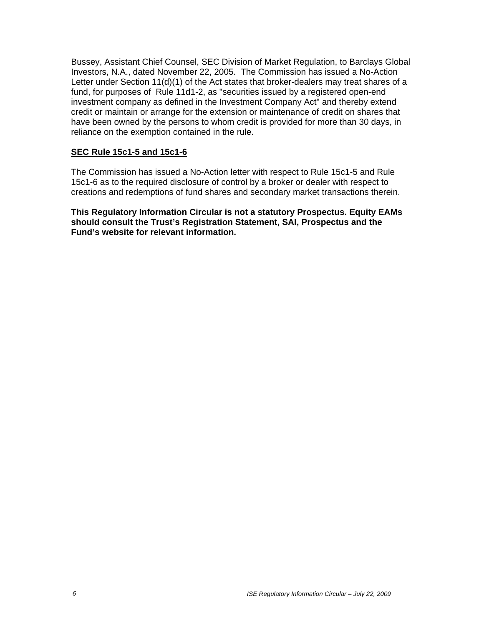Bussey, Assistant Chief Counsel, SEC Division of Market Regulation, to Barclays Global Investors, N.A., dated November 22, 2005. The Commission has issued a No-Action Letter under Section 11(d)(1) of the Act states that broker-dealers may treat shares of a fund, for purposes of Rule 11d1-2, as "securities issued by a registered open-end investment company as defined in the Investment Company Act" and thereby extend credit or maintain or arrange for the extension or maintenance of credit on shares that have been owned by the persons to whom credit is provided for more than 30 days, in reliance on the exemption contained in the rule.

#### **SEC Rule 15c1-5 and 15c1-6**

The Commission has issued a No-Action letter with respect to Rule 15c1-5 and Rule 15c1-6 as to the required disclosure of control by a broker or dealer with respect to creations and redemptions of fund shares and secondary market transactions therein.

**This Regulatory Information Circular is not a statutory Prospectus. Equity EAMs should consult the Trust's Registration Statement, SAI, Prospectus and the Fund's website for relevant information.**